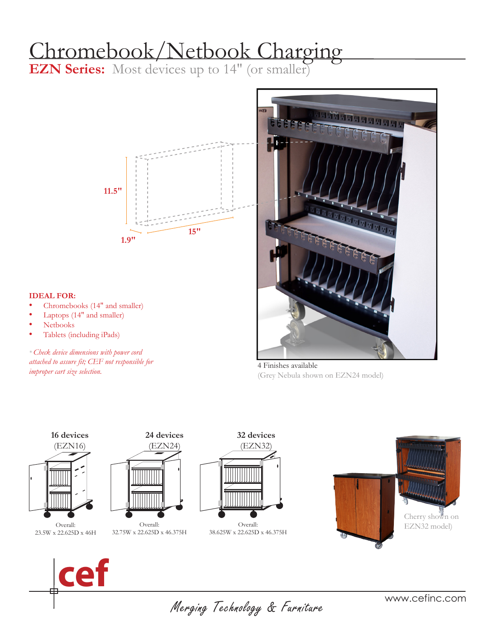# Chromebook/Netbook Charging

**EZN Series:** Most devices up to 14" (or smaller)



#### **IDEAL FOR:**

- Chromebooks (14" and smaller)
- Laptops (14" and smaller)
- Netbooks
- Tablets (including iPads)

*\* Check device dimensions with power cord attached to assure fit; CEF not responsible for improper cart size selection.*



4 Finishes available (Grey Nebula shown on EZN24 model)





Merging Technology & Furniture

www.cefinc.com